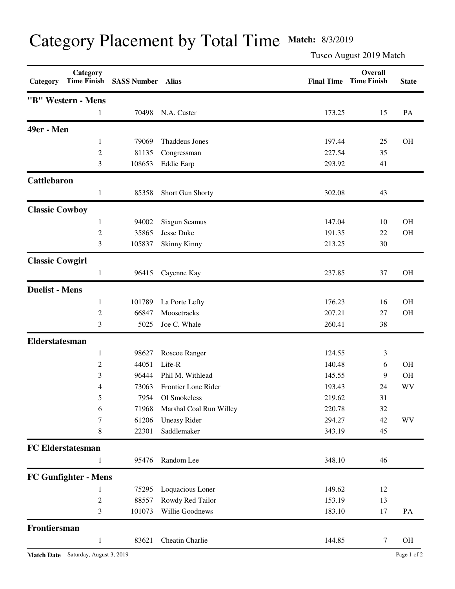## Category Placement by Total Time **Match:** 8/3/2019

Tusco August 2019 Match

| Category               | Category<br><b>Time Finish</b> | <b>SASS Number</b> | Alias                   | <b>Final Time</b> | Overall<br><b>Time Finish</b> | <b>State</b> |
|------------------------|--------------------------------|--------------------|-------------------------|-------------------|-------------------------------|--------------|
|                        | "B" Western - Mens             |                    |                         |                   |                               |              |
|                        | 1                              | 70498              | N.A. Custer             | 173.25            | 15                            | PA           |
| 49er - Men             |                                |                    |                         |                   |                               |              |
|                        | $\mathbf{1}$                   | 79069              | <b>Thaddeus Jones</b>   | 197.44            | 25                            | <b>OH</b>    |
|                        | $\overline{c}$                 | 81135              | Congressman             | 227.54            | 35                            |              |
|                        | 3                              | 108653             | <b>Eddie Earp</b>       | 293.92            | 41                            |              |
| Cattlebaron            |                                |                    |                         |                   |                               |              |
|                        | $\mathbf{1}$                   | 85358              | Short Gun Shorty        | 302.08            | 43                            |              |
| <b>Classic Cowboy</b>  |                                |                    |                         |                   |                               |              |
|                        | 1                              | 94002              | Sixgun Seamus           | 147.04            | 10                            | <b>OH</b>    |
|                        | $\overline{c}$                 | 35865              | Jesse Duke              | 191.35            | 22                            | <b>OH</b>    |
|                        | 3                              | 105837             | <b>Skinny Kinny</b>     | 213.25            | 30                            |              |
| <b>Classic Cowgirl</b> |                                |                    |                         |                   |                               |              |
|                        | 1                              | 96415              | Cayenne Kay             | 237.85            | 37                            | <b>OH</b>    |
| <b>Duelist - Mens</b>  |                                |                    |                         |                   |                               |              |
|                        | 1                              | 101789             | La Porte Lefty          | 176.23            | 16                            | <b>OH</b>    |
|                        | $\overline{c}$                 | 66847              | Moosetracks             | 207.21            | 27                            | <b>OH</b>    |
|                        | 3                              | 5025               | Joe C. Whale            | 260.41            | 38                            |              |
| <b>Elderstatesman</b>  |                                |                    |                         |                   |                               |              |
|                        | 1                              | 98627              | Roscoe Ranger           | 124.55            | 3                             |              |
|                        | 2                              | 44051              | Life-R                  | 140.48            | 6                             | <b>OH</b>    |
|                        | 3                              | 96444              | Phil M. Withlead        | 145.55            | 9                             | <b>OH</b>    |
|                        | 4                              | 73063              | Frontier Lone Rider     | 193.43            | 24                            | WV           |
|                        |                                | 7954               | Ol Smokeless            | 219.62            | 31                            |              |
|                        | 6                              | 71968              | Marshal Coal Run Willey | 220.78            | 32                            |              |
|                        | 7                              | 61206              | <b>Uneasy Rider</b>     | 294.27            | 42                            | WV           |
|                        | 8                              | 22301              | Saddlemaker             | 343.19            | 45                            |              |
|                        | <b>FC Elderstatesman</b>       |                    |                         |                   |                               |              |
|                        |                                | 95476              | Random Lee              | 348.10            | 46                            |              |
|                        | <b>FC Gunfighter - Mens</b>    |                    |                         |                   |                               |              |
|                        | 1                              | 75295              | Loquacious Loner        | 149.62            | 12                            |              |
|                        | $\overline{c}$                 | 88557              | Rowdy Red Tailor        | 153.19            | 13                            |              |
|                        | 3                              | 101073             | Willie Goodnews         | 183.10            | 17                            | PA           |
| Frontiersman           |                                |                    |                         |                   |                               |              |
|                        | $\mathbf{1}$                   | 83621              | Cheatin Charlie         | 144.85            | $\tau$                        | OH           |